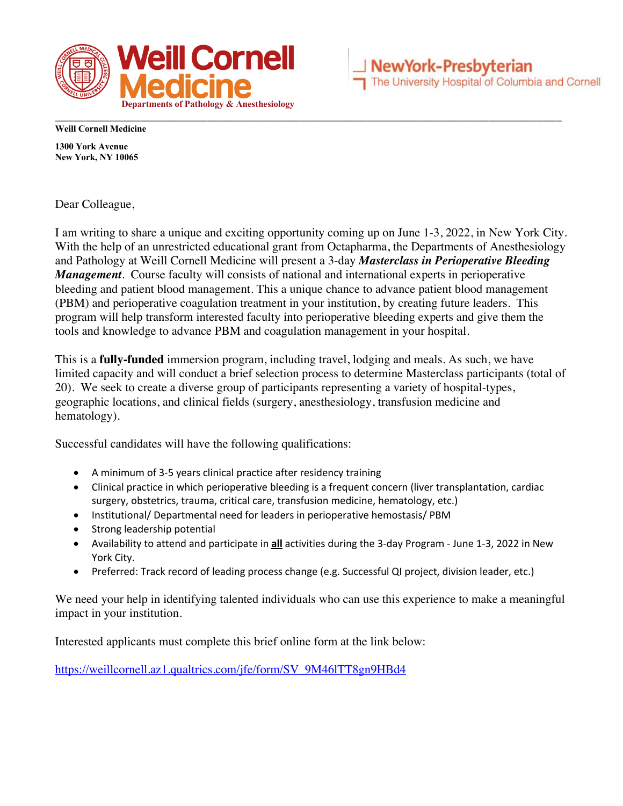

**Weill Cornell Medicine**

**1300 York Avenue New York, NY 10065**

Dear Colleague,

I am writing to share a unique and exciting opportunity coming up on June 1-3, 2022, in New York City. With the help of an unrestricted educational grant from Octapharma, the Departments of Anesthesiology and Pathology at Weill Cornell Medicine will present a 3-day *Masterclass in Perioperative Bleeding Management*. Course faculty will consists of national and international experts in perioperative bleeding and patient blood management. This a unique chance to advance patient blood management (PBM) and perioperative coagulation treatment in your institution, by creating future leaders. This program will help transform interested faculty into perioperative bleeding experts and give them the tools and knowledge to advance PBM and coagulation management in your hospital.

This is a **fully-funded** immersion program, including travel, lodging and meals. As such, we have limited capacity and will conduct a brief selection process to determine Masterclass participants (total of 20). We seek to create a diverse group of participants representing a variety of hospital-types, geographic locations, and clinical fields (surgery, anesthesiology, transfusion medicine and hematology).

Successful candidates will have the following qualifications:

- A minimum of 3-5 years clinical practice after residency training
- Clinical practice in which perioperative bleeding is a frequent concern (liver transplantation, cardiac surgery, obstetrics, trauma, critical care, transfusion medicine, hematology, etc.)
- Institutional/ Departmental need for leaders in perioperative hemostasis/ PBM
- Strong leadership potential
- Availability to attend and participate in **all** activities during the 3-day Program June 1-3, 2022 in New York City.
- Preferred: Track record of leading process change (e.g. Successful QI project, division leader, etc.)

We need your help in identifying talented individuals who can use this experience to make a meaningful impact in your institution.

Interested applicants must complete this brief online form at the link below:

https://weillcornell.az1.qualtrics.com/jfe/form/SV\_9M46lTT8gn9HBd4